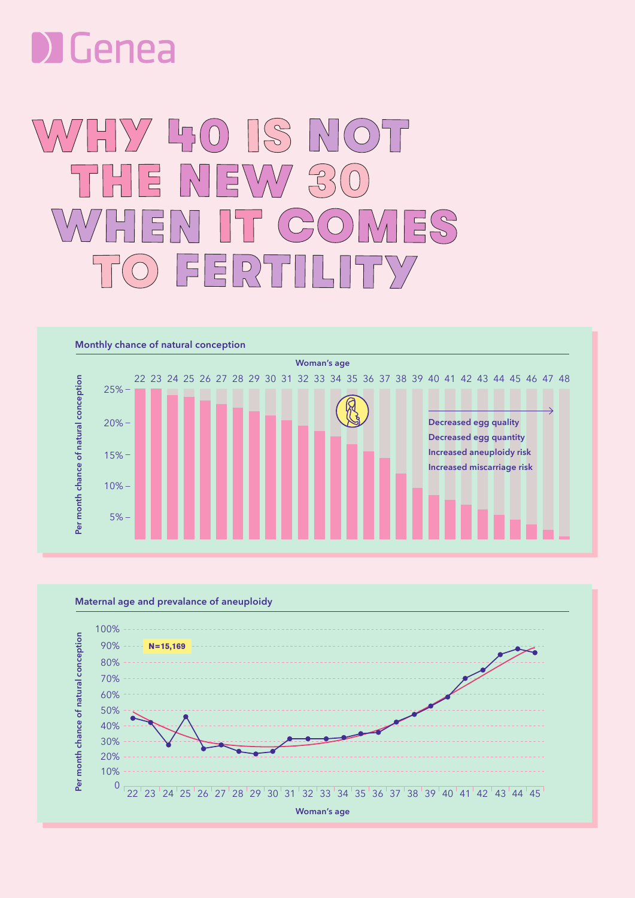

## HY 50 S NO  $V_{\Lambda}V/$  $\bigoplus$  $\Box$  $\Xi$  $E(S)$ ♦ E  $\left(\bigcup_{n=1}^{n} \right)$ j